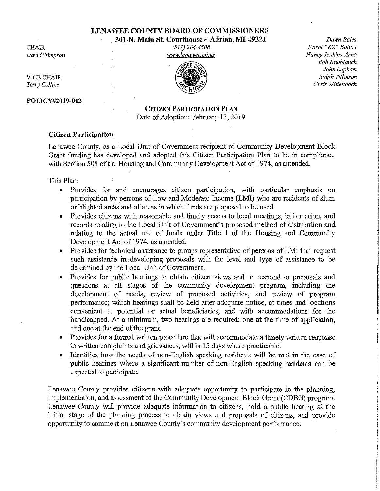# **LENA WEE COUNTY BOARD. OF COMMISSIONERS**

301 N. Main St. Courthouse ~ Adrian, MI 49221

**CHAIR** *David Stimpson* 

. *(517) 264-4508*  www.lenawee.mi.us



*Dawn Bales Karol "KZ" Bolton Nancy Jenkins-Arno Bob Knoblauch John Lapham Ralph Tillotson Chris Wittenbach* 

VICE-CHAIR *Terry Collins* 

### **POLICY#2019-003**

# **CITIZEN PARTICIPATION PLAN**  Date of Adoption: February 13,2019

## **Citizen Participation**

Lenawee County, as a Local Unit of Government recipient of Community Development Block Grant funding has developed and adopted this Citizen Participation Plan to be in compliance with Section 508 of the Housing and Community Development Act of 1974, as amended.

This Plan:

- Provides for and encourages citizen participation, with particular emphasis on participation by persons of Low and Moderate Income (LMI) who are residents of slum or blighted, areas and of areas in which funds are proposed to be used.
- Provides citizens with reasonable and timely access to local meetings, information, and records relating to the Local Unit of Government's proposed method of distribution and relating to the actual use of funds uuder Title I of the Housing and Community Development Act of 1974, as amended.
- Provides for technical assistance to groups representative of persons of LMI that request such assistance in: developing proposals with the level and type of assistance to be determined by the Local Unit of Government.
- Provides for public hearings to obtain citizen views and to respond to proposals and questions at all stages of the community development program, including the development of needs, review of proposed activities, and review of program performance; which hearings shall be held after adequate notice, at times and locations convenient to potential or actual beneficiaries, and with accommodations for the handicapped. At a minimum, two hearings are required: one at the time of application, and one at the end of the grant.
- Provides for a formal written procedure that will accommodate a timely written response to written complaints and grievances, within 15 days where practicable.
- Identifies how the needs of non-English speaking residents will be met in the case of public hearings where a significant number of non-English speaking residents can be expected to participate.

Lenawee County provides citizens with adequate opportunity to participate in the planning, implementation, and assessment of the Community Development Block Grant (CDBG) program. Lenawee County will provide adequate information to citizens, hold a public hearing at the initial stage of the plarming process to obtain views and proposals of citizens, and provide opportunity to comment on Lenawee County's community development performance.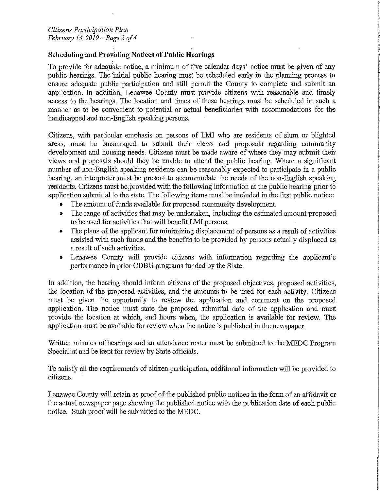# **Scheduling and Providing Notices of Public Hearings**

To provide for adequate notice, a minimum of five calendar days' notice must be given of any public hearings. The 'initial public hearing must be scheduled early in the planning process to ensure adequate public participation and still permit the County to complete and submit an application. In addition, Lenawee County must provide citizens with reasonable and timely access to the hearings. The location and times of these hearings must be scheduled in such a manner as to be convenient to potential or actual beneficiaries with accommodations for the handicapped and non-English speaking persons.

Citizens, with particular emphasis on persons of LMI who are residents of slum or blighted areas, must be encouraged to submit their views and proposals regarding community development and housing needs. Citizens must be made aware of where they may submit their views and proposals should they be unable to attend the public hearing. Where a significant number of non-English speaking residents can be reasonably expected to participate in a public hearing, an interpreter must be present to accommodate the needs of the non-English speaking residents. Citizens must be provided with the following information at the public hearing prior to application submittal to the state. The following items must be included in the first public notice:

- The amount of funds available for proposed community development.
- The range of activities that may be undertaken, including the estimated amount proposed to be used for activities that will benefit LMI persons.
- The plans of the applicant for minimizing displacement of persons as a result of activities assisted with such funds and the benefits to be provided by persons actually displaced as a result of such activities.
- Lenawee County will provide citizens with information regarding the applicant's performance in prior CDBG programs funded by the State.

In addition, the hearing should inform citizens of the proposed objectives, proposed activities, the location of the proposed activities, and the amounts to be used for each activity. Citizens must be given the opportunity to review the application and comment on the proposed application. The notice must state the proposed submittal date of the application and must provide the location at which, and hours when, the application is available for review. The application must be available for review when the notice is published in the newspaper.

Written minutes of hearings and an attendance roster must be submitted to the MEDC Program Specialist and be kept for review by State officials.

To satisfy all the requirements of citizen participation, additional information will be provided to citizens.

Lenawee County will retain as proof of the published public notices in the form of an affidavit or the actual newspaper page showing the published notice with the publication date of each public notice. Such proof will be submitted to the MEDC.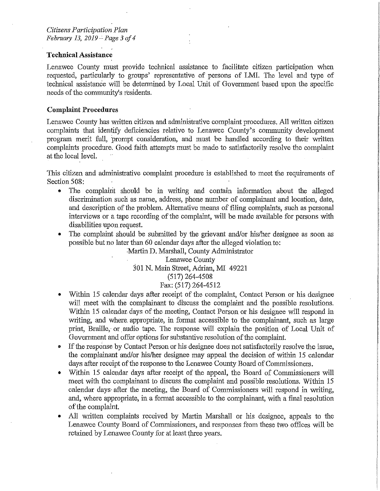### **Technical Assistance**

Lenawee County must provide technical assistance to facilitate citizen participation when requested, particularly to groups' representative of persons of LMI. The level and type of technical assistance will be determined by Local Unit of Government based upon the specific needs of the community's residents.

I I

In the continuum of the continuum of the continuum of the continuum of the continuum of the continuum of the continuum of the continuum of the continuum of the continuum of the continuum of the continuum of the continuum o i

I I I

## **Complaint Procedures**

Lenawee County has written citizen and administrative complaint procedures. All written citizen complaints that identify deficiencies relative to Lenawee County's community development program merit full, prompt consideration, and must be handled according to their written complaints procedure. Good faith attempts must be made to satisfactorily resolve the complaint at the local level.

This citizen and administrative complaint procedure is established to meet the requirements of Section 508:

- The complaint should be in writing and contain information about the alleged discrimination such as name, address, phone number of complainant and location, date, and description of the problem. Alternative means of filing complaints, such as personal interviews or a tape recording of the complaint, will be made available for persons with disabilities upon request.
- The complaint should be submitted by the grievant and/or his/her designee as soon as possible but no later than 60 calendar days after the alleged violation to:

Martin D. Marshall, County Administrator Lenawee County 301 N. Main Street, Adrian, MI 49221 (517) 264-4508 Fax: (517) 264-4512

- Within 15 calendar days after receipt of the complaint, Contact Person or his designee will meet with the complainant to discuss the complaint and the possible resolutions. Within 15 calendar days of the meeting, Contact Person or his designee will respond in writing, and where. appropriate, in format accessible to the complainant, such as large print, Braille, or audio tape. The response will explain the position of Local Unit of Government and offer options for substantive resolution of the complaint.
- If the response by Contact Person or his designee does not satisfactorily resolve the issue, the complainant and/or his/her designee may appeal the decision of within 15 calendar days after receipt of the response to the Lenawee County Board of Commissioners.
- Within 15 calendar days after receipt of the appeal, the Board of Commissioners will meet with the complainant to discuss the complaint and possible resolutions. Within 15 calendar days· after the meeting, the Board of Commissioners will respond in writing, and, where appropriate, in a format accessible to the complainant, with a fmal resolution of the complaint.
- All written complaints received by Martin Marshall or his designee, appeals to the Lenawee County Board of Commissioners, and responses from these two offices will be retained by Lenawee County for at least three years.